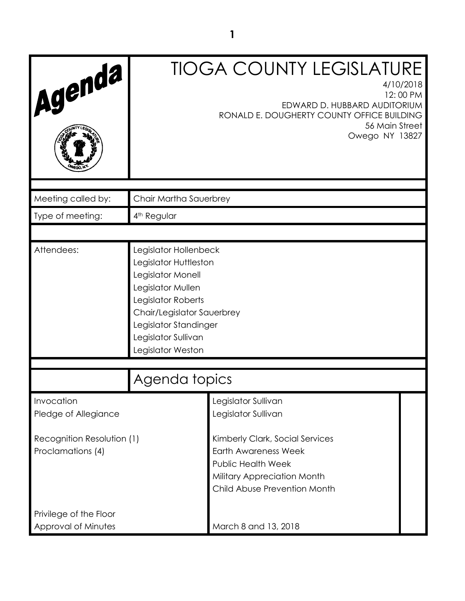| Agenda                                                                                |                                                                                                                                                                                                                   | <b>TIOGA COUNTY LEGISLATURE</b><br>4/10/2018<br>12:00 PM<br>EDWARD D. HUBBARD AUDITORIUM<br>RONALD E. DOUGHERTY COUNTY OFFICE BUILDING<br>56 Main Street<br>Owego NY 13827                               |  |
|---------------------------------------------------------------------------------------|-------------------------------------------------------------------------------------------------------------------------------------------------------------------------------------------------------------------|----------------------------------------------------------------------------------------------------------------------------------------------------------------------------------------------------------|--|
| Meeting called by:                                                                    | Chair Martha Sauerbrey                                                                                                                                                                                            |                                                                                                                                                                                                          |  |
| Type of meeting:                                                                      | 4 <sup>th</sup> Regular                                                                                                                                                                                           |                                                                                                                                                                                                          |  |
|                                                                                       |                                                                                                                                                                                                                   |                                                                                                                                                                                                          |  |
| Attendees:                                                                            | Legislator Hollenbeck<br>Legislator Huttleston<br>Legislator Monell<br>Legislator Mullen<br>Legislator Roberts<br>Chair/Legislator Sauerbrey<br>Legislator Standinger<br>Legislator Sullivan<br>Legislator Weston |                                                                                                                                                                                                          |  |
|                                                                                       | Agenda topics                                                                                                                                                                                                     |                                                                                                                                                                                                          |  |
| Invocation<br>Pledge of Allegiance<br>Recognition Resolution (1)<br>Proclamations (4) |                                                                                                                                                                                                                   | Legislator Sullivan<br>Legislator Sullivan<br>Kimberly Clark, Social Services<br><b>Earth Awareness Week</b><br><b>Public Health Week</b><br>Military Appreciation Month<br>Child Abuse Prevention Month |  |
| Privilege of the Floor                                                                |                                                                                                                                                                                                                   |                                                                                                                                                                                                          |  |
| Approval of Minutes                                                                   |                                                                                                                                                                                                                   | March 8 and 13, 2018                                                                                                                                                                                     |  |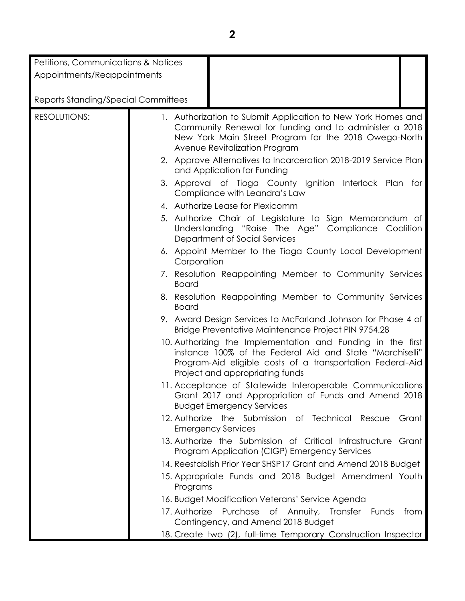| Petitions, Communications & Notices        |               |                                                                                                                                                                                                                                                                                     |       |
|--------------------------------------------|---------------|-------------------------------------------------------------------------------------------------------------------------------------------------------------------------------------------------------------------------------------------------------------------------------------|-------|
| Appointments/Reappointments                |               |                                                                                                                                                                                                                                                                                     |       |
|                                            |               |                                                                                                                                                                                                                                                                                     |       |
| <b>Reports Standing/Special Committees</b> |               |                                                                                                                                                                                                                                                                                     |       |
| <b>RESOLUTIONS:</b>                        |               | 1. Authorization to Submit Application to New York Homes and<br>Community Renewal for funding and to administer a 2018<br>New York Main Street Program for the 2018 Owego-North<br>Avenue Revitalization Program<br>2. Approve Alternatives to Incarceration 2018-2019 Service Plan |       |
|                                            |               | and Application for Funding<br>3. Approval of Tioga County Ignition Interlock Plan for                                                                                                                                                                                              |       |
|                                            |               | Compliance with Leandra's Law                                                                                                                                                                                                                                                       |       |
|                                            |               | 4. Authorize Lease for Plexicomm                                                                                                                                                                                                                                                    |       |
|                                            |               | 5. Authorize Chair of Legislature to Sign Memorandum of<br>Understanding "Raise The Age" Compliance Coalition<br>Department of Social Services                                                                                                                                      |       |
|                                            | Corporation   | 6. Appoint Member to the Tioga County Local Development                                                                                                                                                                                                                             |       |
|                                            | <b>Board</b>  | 7. Resolution Reappointing Member to Community Services                                                                                                                                                                                                                             |       |
|                                            | <b>Board</b>  | 8. Resolution Reappointing Member to Community Services                                                                                                                                                                                                                             |       |
|                                            |               | 9. Award Design Services to McFarland Johnson for Phase 4 of<br>Bridge Preventative Maintenance Project PIN 9754.28                                                                                                                                                                 |       |
|                                            |               | 10. Authorizing the Implementation and Funding in the first<br>instance 100% of the Federal Aid and State "Marchiselli"<br>Program-Aid eligible costs of a transportation Federal-Aid<br>Project and appropriating funds                                                            |       |
|                                            |               | 11. Acceptance of Statewide Interoperable Communications<br>Grant 2017 and Appropriation of Funds and Amend 2018<br><b>Budget Emergency Services</b>                                                                                                                                |       |
|                                            |               | 12. Authorize the Submission of Technical Rescue<br><b>Emergency Services</b>                                                                                                                                                                                                       | Grant |
|                                            |               | 13. Authorize the Submission of Critical Infrastructure Grant<br>Program Application (CIGP) Emergency Services                                                                                                                                                                      |       |
|                                            |               | 14. Reestablish Prior Year SHSP17 Grant and Amend 2018 Budget                                                                                                                                                                                                                       |       |
|                                            | Programs      | 15. Appropriate Funds and 2018 Budget Amendment Youth                                                                                                                                                                                                                               |       |
|                                            |               | 16. Budget Modification Veterans' Service Agenda                                                                                                                                                                                                                                    |       |
|                                            | 17. Authorize | Purchase<br>of Annuity, Transfer Funds<br>Contingency, and Amend 2018 Budget                                                                                                                                                                                                        | from  |
|                                            |               | 18. Create two (2), full-time Temporary Construction Inspector                                                                                                                                                                                                                      |       |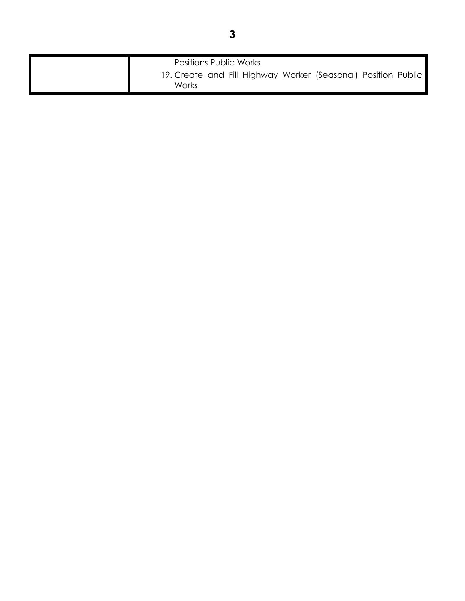| <b>Positions Public Works</b>                                          |
|------------------------------------------------------------------------|
| 19. Create and Fill Highway Worker (Seasonal) Position Public<br>Works |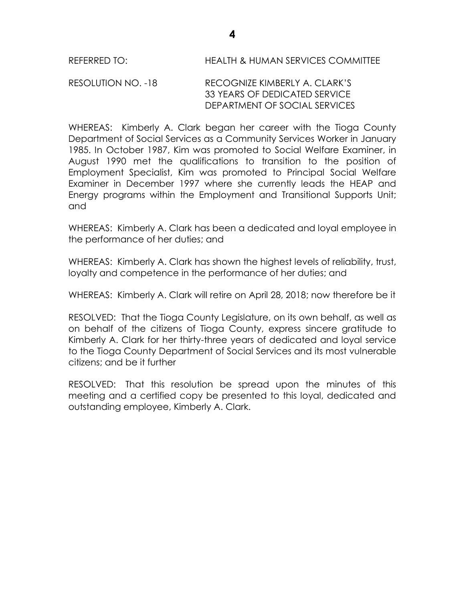## RESOLUTION NO. -18 RECOGNIZE KIMBERLY A. CLARK'S 33 YEARS OF DEDICATED SERVICE DEPARTMENT OF SOCIAL SERVICES

WHEREAS: Kimberly A. Clark began her career with the Tioga County Department of Social Services as a Community Services Worker in January 1985. In October 1987, Kim was promoted to Social Welfare Examiner, in August 1990 met the qualifications to transition to the position of Employment Specialist, Kim was promoted to Principal Social Welfare Examiner in December 1997 where she currently leads the HEAP and Energy programs within the Employment and Transitional Supports Unit; and

WHEREAS: Kimberly A. Clark has been a dedicated and loyal employee in the performance of her duties; and

WHEREAS: Kimberly A. Clark has shown the highest levels of reliability, trust, loyalty and competence in the performance of her duties; and

WHEREAS: Kimberly A. Clark will retire on April 28, 2018; now therefore be it

RESOLVED:That the Tioga County Legislature, on its own behalf, as well as on behalf of the citizens of Tioga County, express sincere gratitude to Kimberly A. Clark for her thirty-three years of dedicated and loyal service to the Tioga County Department of Social Services and its most vulnerable citizens; and be it further

RESOLVED: That this resolution be spread upon the minutes of this meeting and a certified copy be presented to this loyal, dedicated and outstanding employee, Kimberly A. Clark.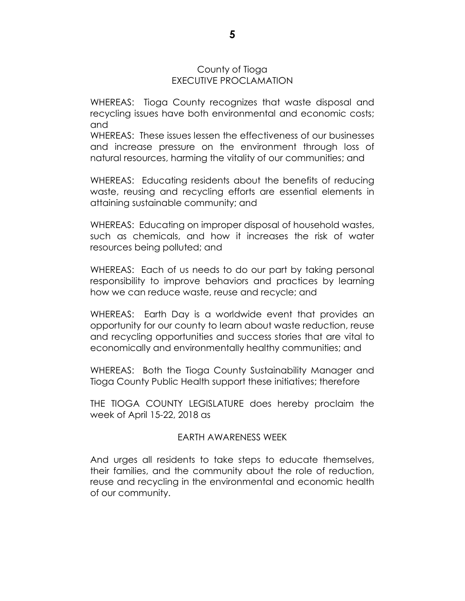### County of Tioga EXECUTIVE PROCLAMATION

WHEREAS: Tioga County recognizes that waste disposal and recycling issues have both environmental and economic costs; and

WHEREAS: These issues lessen the effectiveness of our businesses and increase pressure on the environment through loss of natural resources, harming the vitality of our communities; and

WHEREAS: Educating residents about the benefits of reducing waste, reusing and recycling efforts are essential elements in attaining sustainable community; and

WHEREAS: Educating on improper disposal of household wastes, such as chemicals, and how it increases the risk of water resources being polluted; and

WHEREAS: Each of us needs to do our part by taking personal responsibility to improve behaviors and practices by learning how we can reduce waste, reuse and recycle; and

WHEREAS: Earth Day is a worldwide event that provides an opportunity for our county to learn about waste reduction, reuse and recycling opportunities and success stories that are vital to economically and environmentally healthy communities; and

WHEREAS: Both the Tioga County Sustainability Manager and Tioga County Public Health support these initiatives; therefore

THE TIOGA COUNTY LEGISLATURE does hereby proclaim the week of April 15-22, 2018 as

## EARTH AWARENESS WEEK

And urges all residents to take steps to educate themselves, their families, and the community about the role of reduction, reuse and recycling in the environmental and economic health of our community.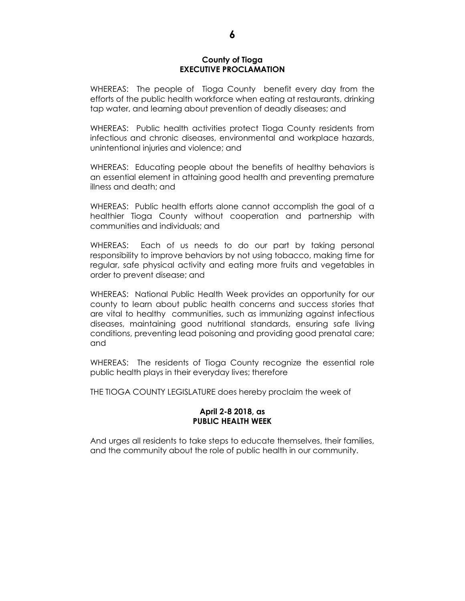### **County of Tioga EXECUTIVE PROCLAMATION**

WHEREAS: The people of Tioga County benefit every day from the efforts of the public health workforce when eating at restaurants, drinking tap water, and learning about prevention of deadly diseases; and

WHEREAS: Public health activities protect Tioga County residents from infectious and chronic diseases, environmental and workplace hazards, unintentional injuries and violence; and

WHEREAS: Educating people about the benefits of healthy behaviors is an essential element in attaining good health and preventing premature illness and death; and

WHEREAS: Public health efforts alone cannot accomplish the goal of a healthier Tioga County without cooperation and partnership with communities and individuals; and

WHEREAS: Each of us needs to do our part by taking personal responsibility to improve behaviors by not using tobacco, making time for regular, safe physical activity and eating more fruits and vegetables in order to prevent disease; and

WHEREAS: National Public Health Week provides an opportunity for our county to learn about public health concerns and success stories that are vital to healthy communities, such as immunizing against infectious diseases, maintaining good nutritional standards, ensuring safe living conditions, preventing lead poisoning and providing good prenatal care; and

WHEREAS: The residents of Tioga County recognize the essential role public health plays in their everyday lives; therefore

THE TIOGA COUNTY LEGISLATURE does hereby proclaim the week of

### **April 2-8 2018, as PUBLIC HEALTH WEEK**

And urges all residents to take steps to educate themselves, their families, and the community about the role of public health in our community.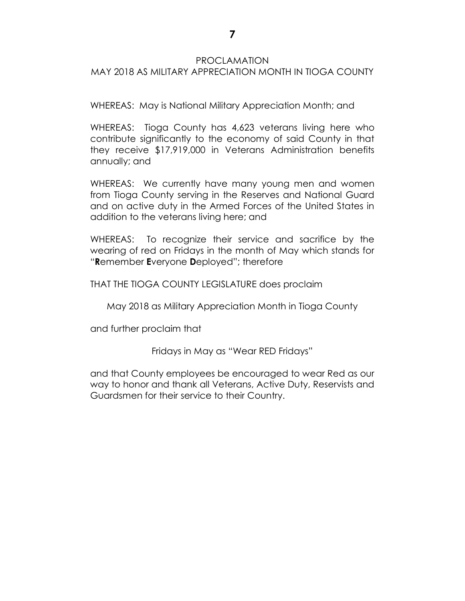## PROCLAMATION

# MAY 2018 AS MILITARY APPRECIATION MONTH IN TIOGA COUNTY

WHEREAS: May is National Military Appreciation Month; and

WHEREAS: Tioga County has 4,623 veterans living here who contribute significantly to the economy of said County in that they receive \$17,919,000 in Veterans Administration benefits annually; and

WHEREAS: We currently have many young men and women from Tioga County serving in the Reserves and National Guard and on active duty in the Armed Forces of the United States in addition to the veterans living here; and

WHEREAS: To recognize their service and sacrifice by the wearing of red on Fridays in the month of May which stands for "**R**emember **E**veryone **D**eployed"; therefore

THAT THE TIOGA COUNTY LEGISLATURE does proclaim

May 2018 as Military Appreciation Month in Tioga County

and further proclaim that

Fridays in May as "Wear RED Fridays"

and that County employees be encouraged to wear Red as our way to honor and thank all Veterans, Active Duty, Reservists and Guardsmen for their service to their Country.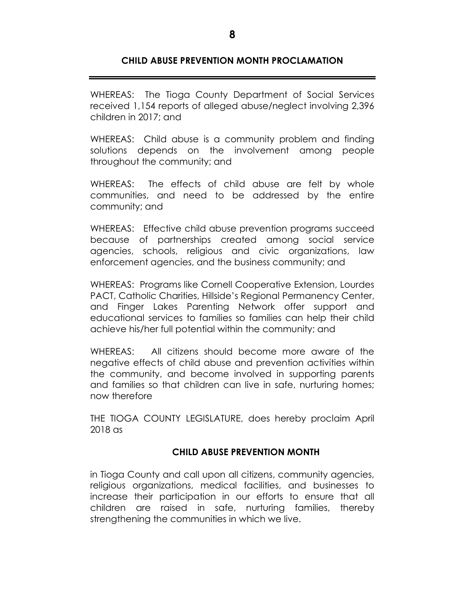# **CHILD ABUSE PREVENTION MONTH PROCLAMATION**

WHEREAS: The Tioga County Department of Social Services received 1,154 reports of alleged abuse/neglect involving 2,396 children in 2017; and

WHEREAS: Child abuse is a community problem and finding solutions depends on the involvement among people throughout the community; and

WHEREAS: The effects of child abuse are felt by whole communities, and need to be addressed by the entire community; and

WHEREAS: Effective child abuse prevention programs succeed because of partnerships created among social service agencies, schools, religious and civic organizations, law enforcement agencies, and the business community; and

WHEREAS: Programs like Cornell Cooperative Extension, Lourdes PACT, Catholic Charities, Hillside's Regional Permanency Center, and Finger Lakes Parenting Network offer support and educational services to families so families can help their child achieve his/her full potential within the community; and

WHEREAS: All citizens should become more aware of the negative effects of child abuse and prevention activities within the community, and become involved in supporting parents and families so that children can live in safe, nurturing homes; now therefore

THE TIOGA COUNTY LEGISLATURE, does hereby proclaim April 2018 as

# **CHILD ABUSE PREVENTION MONTH**

in Tioga County and call upon all citizens, community agencies, religious organizations, medical facilities, and businesses to increase their participation in our efforts to ensure that all children are raised in safe, nurturing families, thereby strengthening the communities in which we live.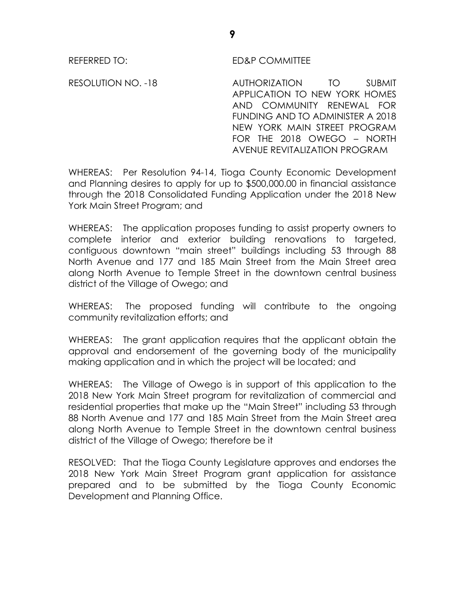# REFERRED TO: ED&P COMMITTEE

RESOLUTION NO. -18 AUTHORIZATION TO SUBMIT APPLICATION TO NEW YORK HOMES AND COMMUNITY RENEWAL FOR FUNDING AND TO ADMINISTER A 2018 NEW YORK MAIN STREET PROGRAM FOR THE 2018 OWEGO – NORTH AVENUE REVITALIZATION PROGRAM

WHEREAS: Per Resolution 94-14, Tioga County Economic Development and Planning desires to apply for up to \$500,000.00 in financial assistance through the 2018 Consolidated Funding Application under the 2018 New York Main Street Program; and

WHEREAS: The application proposes funding to assist property owners to complete interior and exterior building renovations to targeted, contiguous downtown "main street" buildings including 53 through 88 North Avenue and 177 and 185 Main Street from the Main Street area along North Avenue to Temple Street in the downtown central business district of the Village of Owego; and

WHEREAS: The proposed funding will contribute to the ongoing community revitalization efforts; and

WHEREAS: The grant application requires that the applicant obtain the approval and endorsement of the governing body of the municipality making application and in which the project will be located; and

WHEREAS: The Village of Owego is in support of this application to the 2018 New York Main Street program for revitalization of commercial and residential properties that make up the "Main Street" including 53 through 88 North Avenue and 177 and 185 Main Street from the Main Street area along North Avenue to Temple Street in the downtown central business district of the Village of Owego; therefore be it

RESOLVED: That the Tioga County Legislature approves and endorses the 2018 New York Main Street Program grant application for assistance prepared and to be submitted by the Tioga County Economic Development and Planning Office.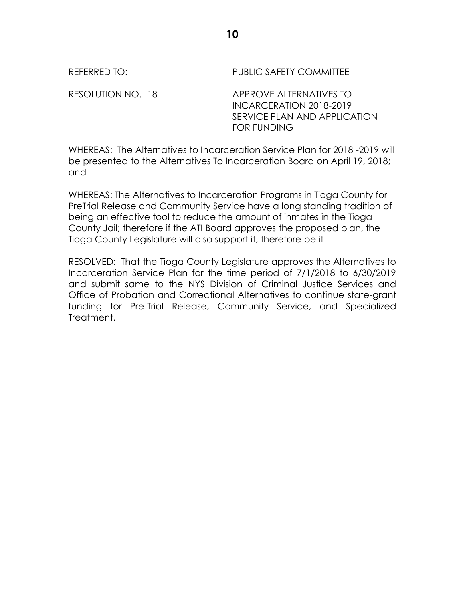REFERRED TO: PUBLIC SAFETY COMMITTEE

RESOLUTION NO. -18 APPROVE ALTERNATIVES TO INCARCERATION 2018-2019 SERVICE PLAN AND APPLICATION FOR FUNDING

WHEREAS: The Alternatives to Incarceration Service Plan for 2018 -2019 will be presented to the Alternatives To Incarceration Board on April 19, 2018; and

WHEREAS: The Alternatives to Incarceration Programs in Tioga County for PreTrial Release and Community Service have a long standing tradition of being an effective tool to reduce the amount of inmates in the Tioga County Jail; therefore if the ATI Board approves the proposed plan, the Tioga County Legislature will also support it; therefore be it

RESOLVED: That the Tioga County Legislature approves the Alternatives to Incarceration Service Plan for the time period of 7/1/2018 to 6/30/2019 and submit same to the NYS Division of Criminal Justice Services and Office of Probation and Correctional Alternatives to continue state-grant funding for Pre-Trial Release, Community Service, and Specialized Treatment.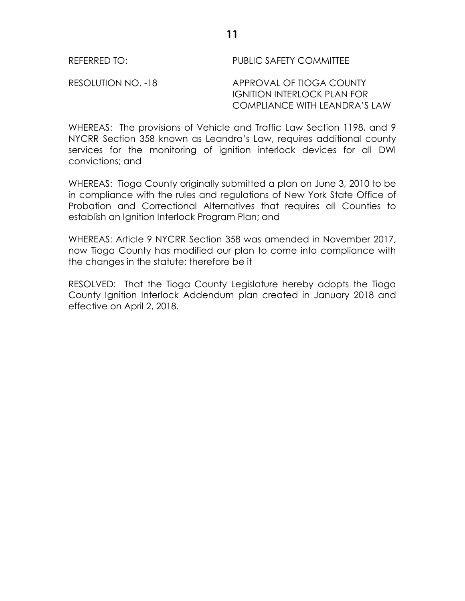# REFERRED TO: PUBLIC SAFETY COMMITTEE

RESOLUTION NO. -18 APPROVAL OF TIOGA COUNTY IGNITION INTERLOCK PLAN FOR COMPLIANCE WITH LEANDRA'S LAW

WHEREAS: The provisions of Vehicle and Traffic Law Section 1198, and 9 NYCRR Section 358 known as Leandra's Law, requires additional county services for the monitoring of ignition interlock devices for all DWI convictions; and

WHEREAS: Tioga County originally submitted a plan on June 3, 2010 to be in compliance with the rules and regulations of New York State Office of Probation and Correctional Alternatives that requires all Counties to establish an Ignition Interlock Program Plan; and

WHEREAS: Article 9 NYCRR Section 358 was amended in November 2017, now Tioga County has modified our plan to come into compliance with the changes in the statute; therefore be it

RESOLVED: That the Tioga County Legislature hereby adopts the Tioga County Ignition Interlock Addendum plan created in January 2018 and effective on April 2, 2018.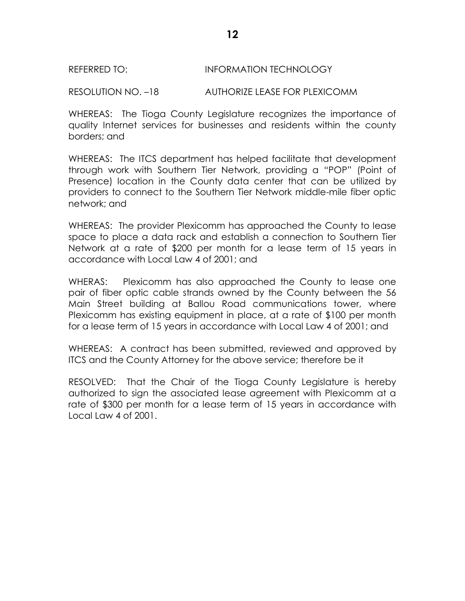### REFERRED TO: INFORMATION TECHNOLOGY

RESOLUTION NO. –18 AUTHORIZE LEASE FOR PLEXICOMM

WHEREAS: The Tioga County Legislature recognizes the importance of quality Internet services for businesses and residents within the county borders; and

WHEREAS: The ITCS department has helped facilitate that development through work with Southern Tier Network, providing a "POP" (Point of Presence) location in the County data center that can be utilized by providers to connect to the Southern Tier Network middle-mile fiber optic network; and

WHEREAS: The provider Plexicomm has approached the County to lease space to place a data rack and establish a connection to Southern Tier Network at a rate of \$200 per month for a lease term of 15 years in accordance with Local Law 4 of 2001; and

WHERAS: Plexicomm has also approached the County to lease one pair of fiber optic cable strands owned by the County between the 56 Main Street building at Ballou Road communications tower, where Plexicomm has existing equipment in place, at a rate of \$100 per month for a lease term of 15 years in accordance with Local Law 4 of 2001; and

WHEREAS: A contract has been submitted, reviewed and approved by ITCS and the County Attorney for the above service; therefore be it

RESOLVED: That the Chair of the Tioga County Legislature is hereby authorized to sign the associated lease agreement with Plexicomm at a rate of \$300 per month for a lease term of 15 years in accordance with Local Law 4 of 2001.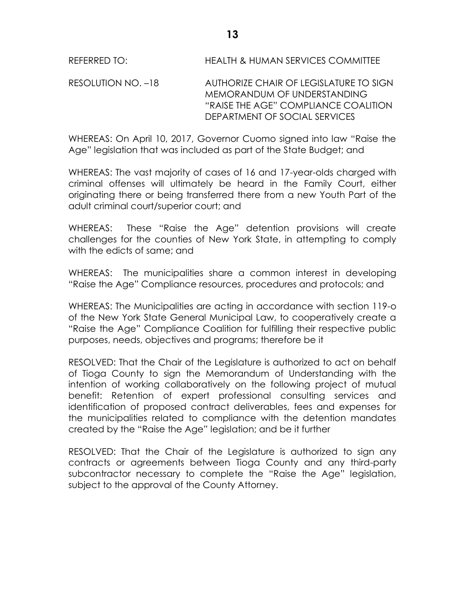RESOLUTION NO. –18 AUTHORIZE CHAIR OF LEGISLATURE TO SIGN MEMORANDUM OF UNDERSTANDING "RAISE THE AGE" COMPLIANCE COALITION DEPARTMENT OF SOCIAL SERVICES

WHEREAS: On April 10, 2017, Governor Cuomo signed into law "Raise the Age" legislation that was included as part of the State Budget; and

WHEREAS: The vast majority of cases of 16 and 17-year-olds charged with criminal offenses will ultimately be heard in the Family Court, either originating there or being transferred there from a new Youth Part of the adult criminal court/superior court; and

WHEREAS: These "Raise the Age" detention provisions will create challenges for the counties of New York State, in attempting to comply with the edicts of same; and

WHEREAS: The municipalities share a common interest in developing "Raise the Age" Compliance resources, procedures and protocols; and

WHEREAS: The Municipalities are acting in accordance with section 119-o of the New York State General Municipal Law, to cooperatively create a "Raise the Age" Compliance Coalition for fulfilling their respective public purposes, needs, objectives and programs; therefore be it

RESOLVED: That the Chair of the Legislature is authorized to act on behalf of Tioga County to sign the Memorandum of Understanding with the intention of working collaboratively on the following project of mutual benefit: Retention of expert professional consulting services and identification of proposed contract deliverables, fees and expenses for the municipalities related to compliance with the detention mandates created by the "Raise the Age" legislation; and be it further

RESOLVED: That the Chair of the Legislature is authorized to sign any contracts or agreements between Tioga County and any third-party subcontractor necessary to complete the "Raise the Age" legislation, subject to the approval of the County Attorney.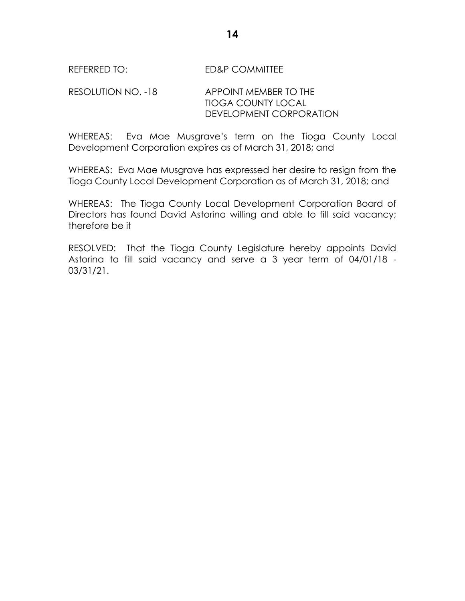# RESOLUTION NO. -18 APPOINT MEMBER TO THE TIOGA COUNTY LOCAL DEVELOPMENT CORPORATION

WHEREAS: Eva Mae Musgrave's term on the Tioga County Local Development Corporation expires as of March 31, 2018; and

WHEREAS: Eva Mae Musgrave has expressed her desire to resign from the Tioga County Local Development Corporation as of March 31, 2018; and

WHEREAS: The Tioga County Local Development Corporation Board of Directors has found David Astorina willing and able to fill said vacancy; therefore be it

RESOLVED: That the Tioga County Legislature hereby appoints David Astorina to fill said vacancy and serve a 3 year term of 04/01/18 - 03/31/21.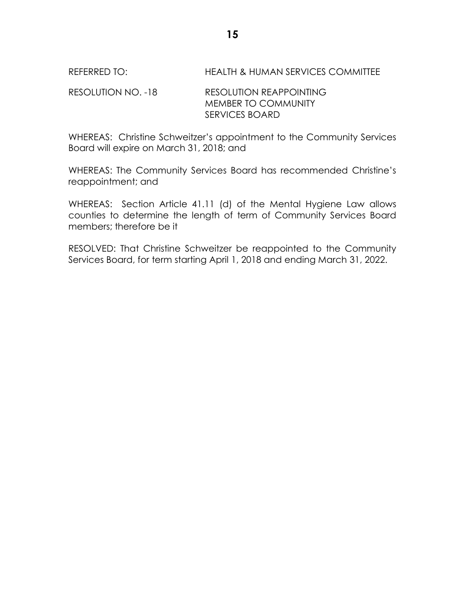REFERRED TO: HEALTH & HUMAN SERVICES COMMITTEE

RESOLUTION NO. -18 RESOLUTION REAPPOINTING MEMBER TO COMMUNITY SERVICES BOARD

WHEREAS: Christine Schweitzer's appointment to the Community Services Board will expire on March 31, 2018; and

WHEREAS: The Community Services Board has recommended Christine's reappointment; and

WHEREAS: Section Article 41.11 (d) of the Mental Hygiene Law allows counties to determine the length of term of Community Services Board members; therefore be it

RESOLVED: That Christine Schweitzer be reappointed to the Community Services Board, for term starting April 1, 2018 and ending March 31, 2022.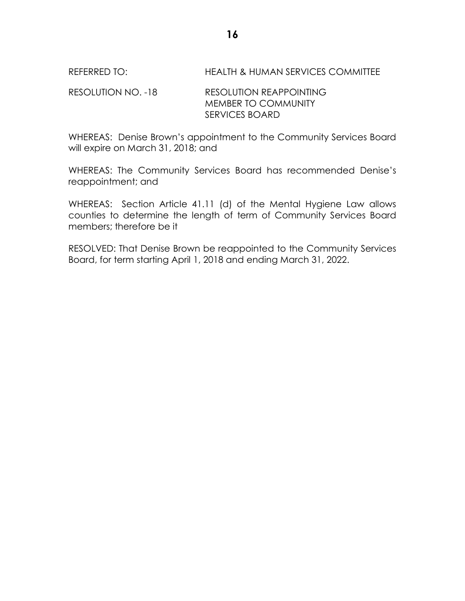REFERRED TO: HEALTH & HUMAN SERVICES COMMITTEE

RESOLUTION NO. -18 RESOLUTION REAPPOINTING MEMBER TO COMMUNITY SERVICES BOARD

WHEREAS: Denise Brown's appointment to the Community Services Board will expire on March 31, 2018; and

WHEREAS: The Community Services Board has recommended Denise's reappointment; and

WHEREAS: Section Article 41.11 (d) of the Mental Hygiene Law allows counties to determine the length of term of Community Services Board members; therefore be it

RESOLVED: That Denise Brown be reappointed to the Community Services Board, for term starting April 1, 2018 and ending March 31, 2022.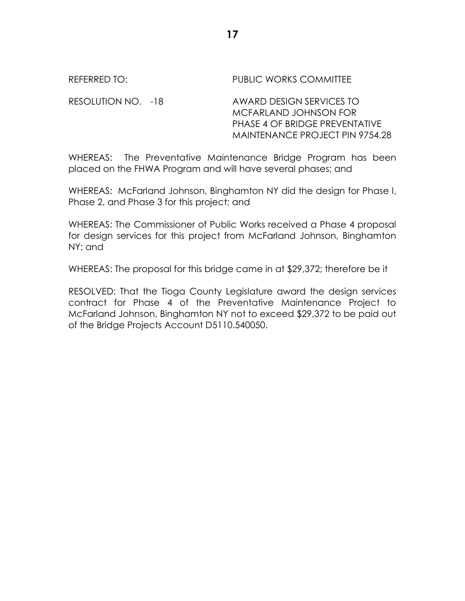| REFERRED TO:       | <b>PUBLIC WORKS COMMITTEE</b>                                                                                                 |
|--------------------|-------------------------------------------------------------------------------------------------------------------------------|
| RESOLUTION NO. -18 | AWARD DESIGN SERVICES TO<br>MCFARLAND JOHNSON FOR<br>PHASE 4 OF BRIDGE PREVENTATIVE<br><b>MAINTENANCE PROJECT PIN 9754.28</b> |

WHEREAS: The Preventative Maintenance Bridge Program has been placed on the FHWA Program and will have several phases; and

WHEREAS: McFarland Johnson, Binghamton NY did the design for Phase I, Phase 2, and Phase 3 for this project; and

WHEREAS: The Commissioner of Public Works received a Phase 4 proposal for design services for this project from McFarland Johnson, Binghamton NY; and

WHEREAS: The proposal for this bridge came in at \$29,372; therefore be it

RESOLVED: That the Tioga County Legislature award the design services contract for Phase 4 of the Preventative Maintenance Project to McFarland Johnson, Binghamton NY not to exceed \$29,372 to be paid out of the Bridge Projects Account D5110.540050.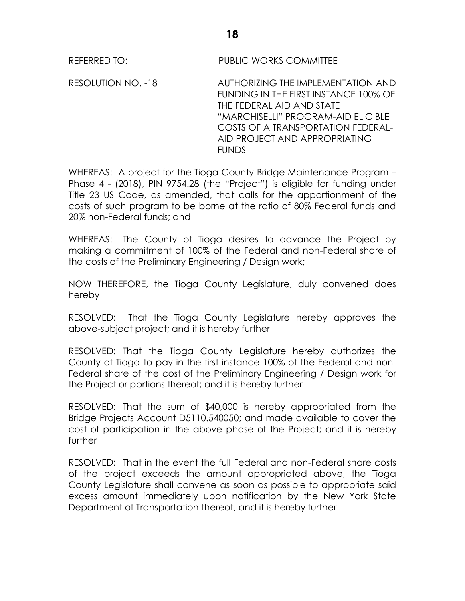REFERRED TO: PUBLIC WORKS COMMITTEE

RESOLUTION NO. -18 AUTHORIZING THE IMPLEMENTATION AND FUNDING IN THE FIRST INSTANCE 100% OF THE FEDERAL AID AND STATE "MARCHISELLI" PROGRAM-AID ELIGIBLE COSTS OF A TRANSPORTATION FEDERAL-AID PROJECT AND APPROPRIATING **FUNDS** 

WHEREAS: A project for the Tioga County Bridge Maintenance Program – Phase 4 - (2018), PIN 9754.28 (the "Project") is eligible for funding under Title 23 US Code, as amended, that calls for the apportionment of the costs of such program to be borne at the ratio of 80% Federal funds and 20% non-Federal funds; and

WHEREAS: The County of Tioga desires to advance the Project by making a commitment of 100% of the Federal and non-Federal share of the costs of the Preliminary Engineering / Design work;

NOW THEREFORE, the Tioga County Legislature, duly convened does hereby

RESOLVED: That the Tioga County Legislature hereby approves the above-subject project; and it is hereby further

RESOLVED: That the Tioga County Legislature hereby authorizes the County of Tioga to pay in the first instance 100% of the Federal and non-Federal share of the cost of the Preliminary Engineering / Design work for the Project or portions thereof; and it is hereby further

RESOLVED: That the sum of \$40,000 is hereby appropriated from the Bridge Projects Account D5110.540050; and made available to cover the cost of participation in the above phase of the Project; and it is hereby further

RESOLVED: That in the event the full Federal and non-Federal share costs of the project exceeds the amount appropriated above, the Tioga County Legislature shall convene as soon as possible to appropriate said excess amount immediately upon notification by the New York State Department of Transportation thereof, and it is hereby further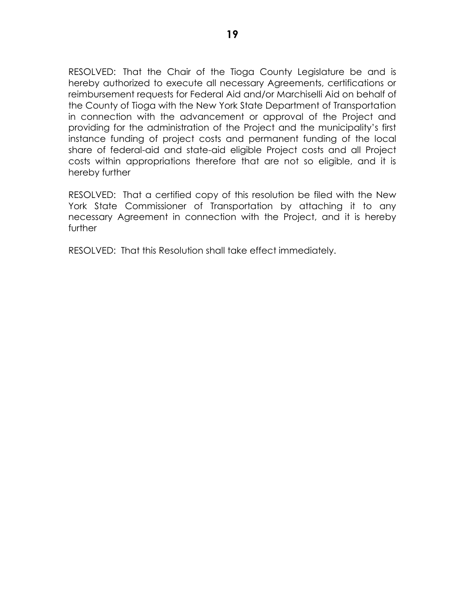RESOLVED: That the Chair of the Tioga County Legislature be and is hereby authorized to execute all necessary Agreements, certifications or reimbursement requests for Federal Aid and/or Marchiselli Aid on behalf of the County of Tioga with the New York State Department of Transportation in connection with the advancement or approval of the Project and providing for the administration of the Project and the municipality's first instance funding of project costs and permanent funding of the local share of federal-aid and state-aid eligible Project costs and all Project costs within appropriations therefore that are not so eligible, and it is hereby further

RESOLVED: That a certified copy of this resolution be filed with the New York State Commissioner of Transportation by attaching it to any necessary Agreement in connection with the Project, and it is hereby further

RESOLVED: That this Resolution shall take effect immediately.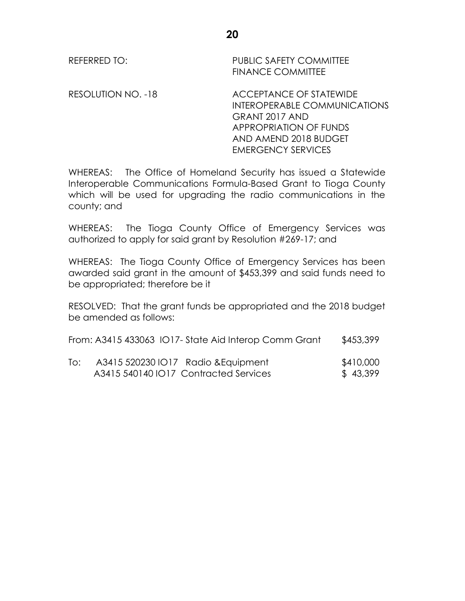RESOLUTION NO. -18 ACCEPTANCE OF STATEWIDE INTEROPERABLE COMMUNICATIONS GRANT 2017 AND APPROPRIATION OF FUNDS AND AMEND 2018 BUDGET EMERGENCY SERVICES

WHEREAS: The Office of Homeland Security has issued a Statewide Interoperable Communications Formula-Based Grant to Tioga County which will be used for upgrading the radio communications in the county; and

WHEREAS: The Tioga County Office of Emergency Services was authorized to apply for said grant by Resolution #269-17; and

WHEREAS: The Tioga County Office of Emergency Services has been awarded said grant in the amount of \$453,399 and said funds need to be appropriated; therefore be it

RESOLVED: That the grant funds be appropriated and the 2018 budget be amended as follows:

|     | From: A3415 433063 IO17- State Aid Interop Comm Grant | \$453,399 |
|-----|-------------------------------------------------------|-----------|
| To: | A3415 520230 IO17  Radio & Equipment                  | \$410,000 |

A3415 540140 IO17 Contracted Services \$ 43,399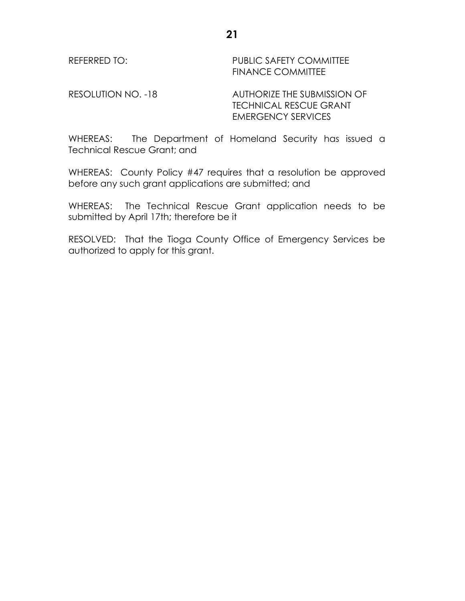REFERRED TO: PUBLIC SAFETY COMMITTEE FINANCE COMMITTEE

RESOLUTION NO. -18 AUTHORIZE THE SUBMISSION OF TECHNICAL RESCUE GRANT EMERGENCY SERVICES

WHEREAS: The Department of Homeland Security has issued a Technical Rescue Grant; and

WHEREAS: County Policy #47 requires that a resolution be approved before any such grant applications are submitted; and

WHEREAS: The Technical Rescue Grant application needs to be submitted by April 17th; therefore be it

RESOLVED: That the Tioga County Office of Emergency Services be authorized to apply for this grant.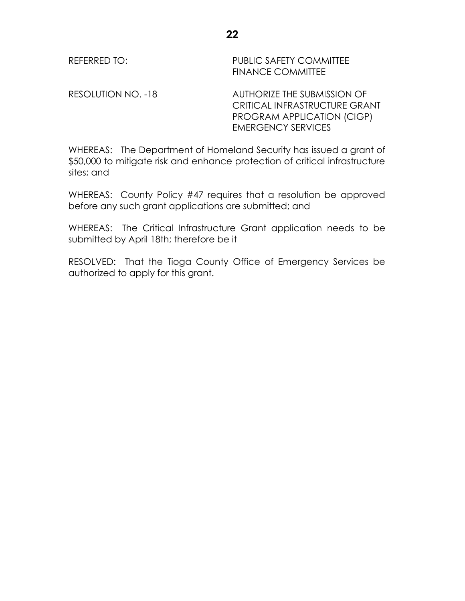REFERRED TO: PUBLIC SAFETY COMMITTEE FINANCE COMMITTEE

RESOLUTION NO. -18 AUTHORIZE THE SUBMISSION OF CRITICAL INFRASTRUCTURE GRANT PROGRAM APPLICATION (CIGP) EMERGENCY SERVICES

WHEREAS: The Department of Homeland Security has issued a grant of \$50,000 to mitigate risk and enhance protection of critical infrastructure sites; and

WHEREAS: County Policy #47 requires that a resolution be approved before any such grant applications are submitted; and

WHEREAS: The Critical Infrastructure Grant application needs to be submitted by April 18th; therefore be it

RESOLVED: That the Tioga County Office of Emergency Services be authorized to apply for this grant.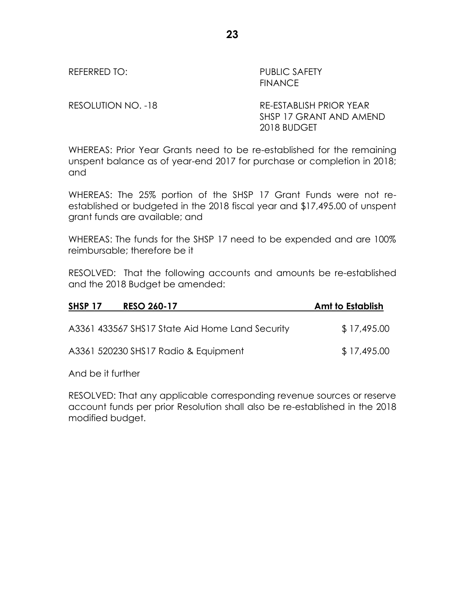REFERRED TO: PUBLIC SAFETY FINANCE

RESOLUTION NO. -18 RE-ESTABLISH PRIOR YEAR SHSP 17 GRANT AND AMEND 2018 BUDGET

WHEREAS: Prior Year Grants need to be re-established for the remaining unspent balance as of year-end 2017 for purchase or completion in 2018; and

WHEREAS: The 25% portion of the SHSP 17 Grant Funds were not reestablished or budgeted in the 2018 fiscal year and \$17,495.00 of unspent grant funds are available; and

WHEREAS: The funds for the SHSP 17 need to be expended and are 100% reimbursable; therefore be it

RESOLVED: That the following accounts and amounts be re-established and the 2018 Budget be amended:

| <b>RESO 260-17</b><br>SHSP <sub>17</sub>        | Amt to Establish |
|-------------------------------------------------|------------------|
| A3361 433567 SHS17 State Aid Home Land Security | \$17,495.00      |
| A3361 520230 SHS17 Radio & Equipment            | \$17,495.00      |

And be it further

RESOLVED: That any applicable corresponding revenue sources or reserve account funds per prior Resolution shall also be re-established in the 2018 modified budget.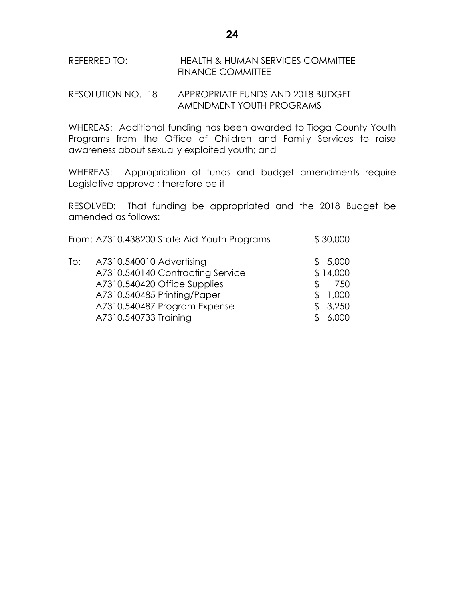## REFERRED TO: HEALTH & HUMAN SERVICES COMMITTEE FINANCE COMMITTEE

# RESOLUTION NO. -18 APPROPRIATE FUNDS AND 2018 BUDGET AMENDMENT YOUTH PROGRAMS

WHEREAS: Additional funding has been awarded to Tioga County Youth Programs from the Office of Children and Family Services to raise awareness about sexually exploited youth; and

WHEREAS: Appropriation of funds and budget amendments require Legislative approval; therefore be it

RESOLVED: That funding be appropriated and the 2018 Budget be amended as follows:

|     | From: A7310.438200 State Aid-Youth Programs                                                                                                                 | \$30,000                                           |
|-----|-------------------------------------------------------------------------------------------------------------------------------------------------------------|----------------------------------------------------|
| To: | A7310.540010 Advertising<br>A7310.540140 Contracting Service<br>A7310.540420 Office Supplies<br>A7310.540485 Printing/Paper<br>A7310.540487 Program Expense | \$5,000<br>\$14,000<br>750<br>\$<br>1,000<br>3,250 |
|     | A7310.540733 Training                                                                                                                                       | 6,000                                              |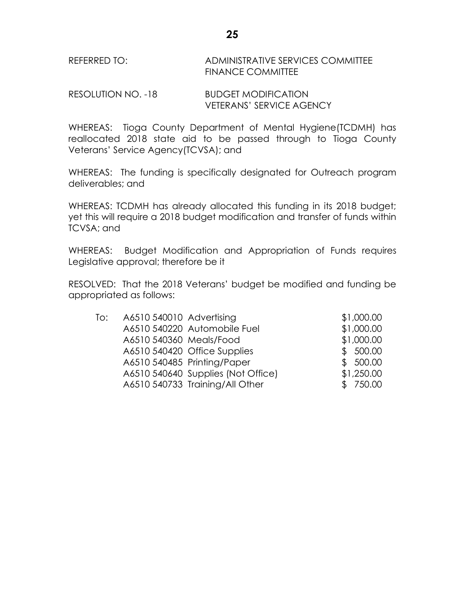## REFERRED TO: ADMINISTRATIVE SERVICES COMMITTEE FINANCE COMMITTEE

RESOLUTION NO. -18 **BUDGET MODIFICATION** VETERANS' SERVICE AGENCY

WHEREAS: Tioga County Department of Mental Hygiene(TCDMH) has reallocated 2018 state aid to be passed through to Tioga County Veterans' Service Agency(TCVSA); and

WHEREAS: The funding is specifically designated for Outreach program deliverables; and

WHEREAS: TCDMH has already allocated this funding in its 2018 budget; yet this will require a 2018 budget modification and transfer of funds within TCVSA; and

WHEREAS: Budget Modification and Appropriation of Funds requires Legislative approval; therefore be it

RESOLVED: That the 2018 Veterans' budget be modified and funding be appropriated as follows:

| To: | A6510 540010 Advertising |                                    | \$1,000.00 |
|-----|--------------------------|------------------------------------|------------|
|     |                          | A6510 540220 Automobile Fuel       | \$1,000.00 |
|     | A6510 540360 Meals/Food  |                                    | \$1,000.00 |
|     |                          | A6510 540420 Office Supplies       | \$500.00   |
|     |                          | A6510 540485 Printing/Paper        | \$500.00   |
|     |                          | A6510 540640 Supplies (Not Office) | \$1,250.00 |
|     |                          | A6510 540733 Training/All Other    | \$750.00   |
|     |                          |                                    |            |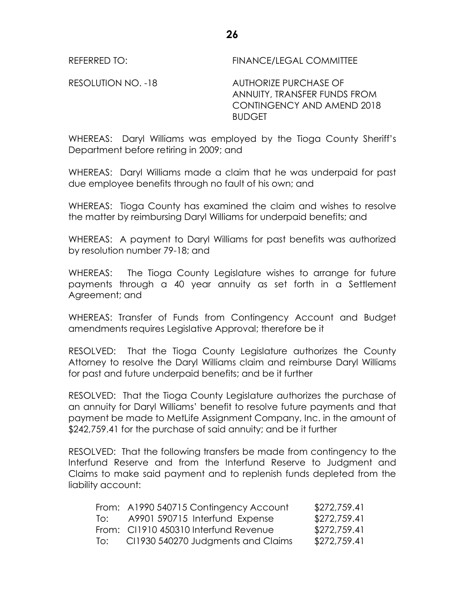REFERRED TO: FINANCE/LEGAL COMMITTEE

RESOLUTION NO. -18 AUTHORIZE PURCHASE OF ANNUITY, TRANSFER FUNDS FROM CONTINGENCY AND AMEND 2018 **BUDGET** 

WHEREAS: Daryl Williams was employed by the Tioga County Sheriff's Department before retiring in 2009; and

WHEREAS: Daryl Williams made a claim that he was underpaid for past due employee benefits through no fault of his own; and

WHEREAS: Tioga County has examined the claim and wishes to resolve the matter by reimbursing Daryl Williams for underpaid benefits; and

WHEREAS: A payment to Daryl Williams for past benefits was authorized by resolution number 79-18; and

WHEREAS: The Tioga County Legislature wishes to arrange for future payments through a 40 year annuity as set forth in a Settlement Agreement; and

WHEREAS: Transfer of Funds from Contingency Account and Budget amendments requires Legislative Approval; therefore be it

RESOLVED: That the Tioga County Legislature authorizes the County Attorney to resolve the Daryl Williams claim and reimburse Daryl Williams for past and future underpaid benefits; and be it further

RESOLVED: That the Tioga County Legislature authorizes the purchase of an annuity for Daryl Williams' benefit to resolve future payments and that payment be made to MetLife Assignment Company, Inc. in the amount of \$242,759.41 for the purchase of said annuity; and be it further

RESOLVED: That the following transfers be made from contingency to the Interfund Reserve and from the Interfund Reserve to Judgment and Claims to make said payment and to replenish funds depleted from the liability account:

|       | From: A1990 540715 Contingency Account | \$272,759.41 |
|-------|----------------------------------------|--------------|
| To: L | A9901 590715 Interfund Expense         | \$272,759.41 |
|       | From: CI1910 450310 Interfund Revenue  | \$272,759.41 |
| To:   | CI1930 540270 Judgments and Claims     | \$272,759.41 |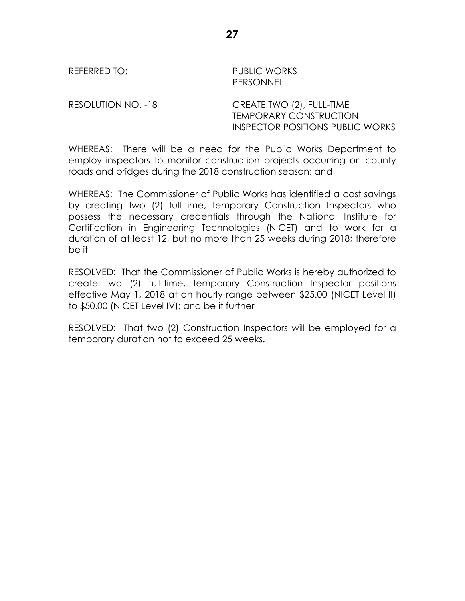REFERRED TO: PUBLIC WORKS PERSONNEL

RESOLUTION NO. -18 CREATE TWO (2), FULL-TIME TEMPORARY CONSTRUCTION INSPECTOR POSITIONS PUBLIC WORKS

WHEREAS: There will be a need for the Public Works Department to employ inspectors to monitor construction projects occurring on county roads and bridges during the 2018 construction season; and

WHEREAS: The Commissioner of Public Works has identified a cost savings by creating two (2) full-time, temporary Construction Inspectors who possess the necessary credentials through the National Institute for Certification in Engineering Technologies (NICET) and to work for a duration of at least 12, but no more than 25 weeks during 2018; therefore be it

RESOLVED: That the Commissioner of Public Works is hereby authorized to create two (2) full-time, temporary Construction Inspector positions effective May 1, 2018 at an hourly range between \$25.00 (NICET Level II) to \$50.00 (NICET Level IV); and be it further

RESOLVED: That two (2) Construction Inspectors will be employed for a temporary duration not to exceed 25 weeks.